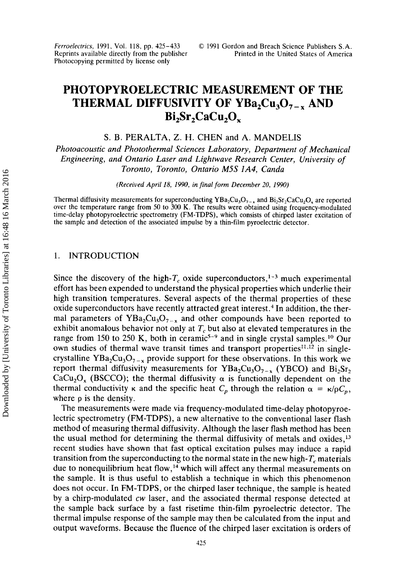*Ferroelecrrics,* 1991, Vol. 118, pp. 425-433 Reprints available directly from the publisher Photocopying permitted by license only

# **PHOTOPYROELECTRIC MEASUREMENT OF THE THERMAL DIFFUSIVITY OF YBa,Cu,O,-. AND**  Bi<sub>2</sub>Sr<sub>2</sub>CaCu<sub>2</sub>O<sub>x</sub>

**S.** B. PERALTA, **Z.** H. CHEN and A. MANDELIS

*Photoacoustic and Photothermal Sciences Laboratory, Department of Mechanical Engineering, and Ontario Laser and Lightwave Research Center, University of Toronto, Toronto, Ontario M5S lA4, Canda* 

*(Received April 18, 1990,* **in** *final form December* 20, *1990)* 

Thermal diffusivity measurements for superconducting  $YBa_2Cu_3O_{7-x}$  and  $Bi_2Sr_2CaCu_2O_x$  are reported over the temperature range from 50 to **300** K. The results were obtained using frequency-modulated time-delay photopyroelectric spectrometry (FM-TDPS), which consists of chirped laster excitation of the sample and detection of the associated impulse by a thin-film pyroelectric detector.

#### 1. INTRODUCTION

Since the discovery of the high- $T_c$  oxide superconductors,<sup>1-3</sup> much experimental effort has been expended to understand the physical properties which underlie their high transition temperatures. Several aspects of the thermal properties of these oxide superconductors have recently attracted great interest.<sup>4</sup> In addition, the thermal parameters of  $YBa<sub>2</sub>Cu<sub>3</sub>O<sub>7-x</sub>$  and other compounds have been reported to exhibit anomalous behavior not only at *T,* but also at elevated temperatures in the range from 150 to 250 K, both in ceramic<sup>5-9</sup> and in single crystal samples.<sup>10</sup> Our own studies of thermal wave transit times and transport properties<sup>11,12</sup> in singlecrystalline  $YBa<sub>2</sub>Cu<sub>3</sub>O<sub>7-x</sub>$  provide support for these observations. In this work we report thermal diffusivity measurements for  $YBa<sub>2</sub>Cu<sub>3</sub>O<sub>7-x</sub>$  (YBCO) and  $Bi<sub>2</sub>Sr<sub>2</sub>$ CaCu<sub>2</sub>O<sub>x</sub> (BSCCO); the thermal diffusivity  $\alpha$  is functionally dependent on the thermal conductivity  $\kappa$  and the specific heat  $C_p$  through the relation  $\alpha = \kappa / pC_p$ , where *p* is the density.

The measurements were made via frequency-modulated time-delay photopyroelectric spectrometry (FM-TDPS), a new alternative to the conventional laser flash method of measuring thermal diffusivity. Although the laser flash method has been the usual method for determining the thermal diffusivity of metals and oxides,13 recent studies have shown that fast optical excitation pulses may induce a rapid transition from the superconducting to the normal state in the new high- $T_c$  materials due to nonequilibrium heat flow,<sup>14</sup> which will affect any thermal measurements on the sample. It is thus useful to establish a technique in which this phenomenon does not occur. In FM-TDPS, or the chirped laser technique, the sample is heated by a chirp-modulated *cw* laser, and the associated thermal response detected at the sample back surface by a fast risetime thin-film pyroelectric detector. The thermal impulse response of the sample may then be calculated from the input and output waveforms. Because the fluence of the chirped laser excitation is orders of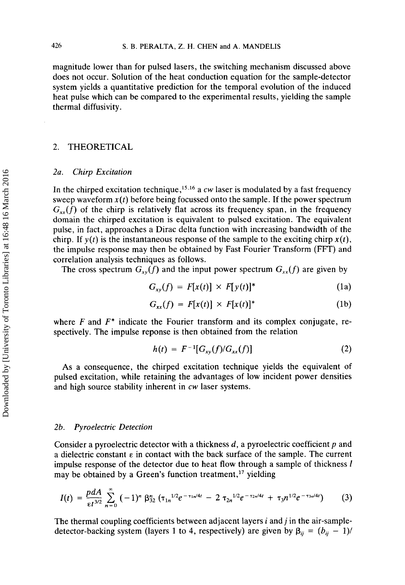magnitude lower than for pulsed lasers, the switching mechanism discussed above does not occur. Solution of the heat conduction equation for the sample-detector system yields a quantitative prediction for the temporal evolution of the induced heat pulse which can be compared to the experimental results, yielding the sample thermal diffusivity.

## 2. THEORETICAL

## *2a. Chirp Excitation*

In the chirped excitation technique,<sup>15,16</sup> a  $cw$  laser is modulated by a fast frequency sweep waveform  $x(t)$  before being focussed onto the sample. If the power spectrum  $G_{rr}(f)$  of the chirp is relatively flat across its frequency span, in the frequency domain the chirped excitation is equivalent to pulsed excitation. The equivalent pulse, in fact, approaches a Dirac delta function with increasing bandwidth of the chirp. If  $y(t)$  is the instantaneous response of the sample to the exciting chirp  $x(t)$ , the impulse response may then be obtained by Fast Fourier Transform (FFT) and correlation analysis techniques as follows.

The cross spectrum  $G_{xy}(f)$  and the input power spectrum  $G_{xx}(f)$  are given by

$$
G_{xy}(f) = F[x(t)] \times F[y(t)]^*
$$
 (1a)

$$
G_{xx}(f) = F[x(t)] \times F[x(t)]^*
$$
 (1b)

where  $F$  and  $F^*$  indicate the Fourier transform and its complex conjugate, respectively. The impulse reponse is then obtained from the relation

$$
h(t) = F^{-1}[G_{xy}(f)/G_{xx}(f)] \tag{2}
$$

**As** a consequence, the chirped excitation technique yields the equivalent of pulsed excitation, while retaining the advantages of low incident power densities and high source stability inherent in *cw* laser systems.

## *2b. Pyroelectric Detection*

Consider a pyroelectric detector with a thickness *d,* a pyroelectric coefficient *p* and a dielectric constant  $\epsilon$  in contact with the back surface of the sample. The current impulse response of the detector due to heat flow through a sample of thickness *<sup>1</sup>* may be obtained by a Green's function treatment,<sup>17</sup> yielding

$$
I(t) = \frac{p dA}{\epsilon t^{3/2}} \sum_{n=0}^{\infty} (-1)^n \beta_{32}^n (\tau_{1n}^{1/2} e^{-\tau_{1n}/4t} - 2 \tau_{2n}^{1/2} e^{-\tau_{2n}/4t} + \tau_3 n^{1/2} e^{-\tau_{3n}/4t}) \tag{3}
$$

The thermal coupling coefficients between adjacent layers *i* and j in the air-sampledetector-backing system (layers 1 to 4, respectively) are given by  $\beta_{ij} = (b_{ij} - 1)$ /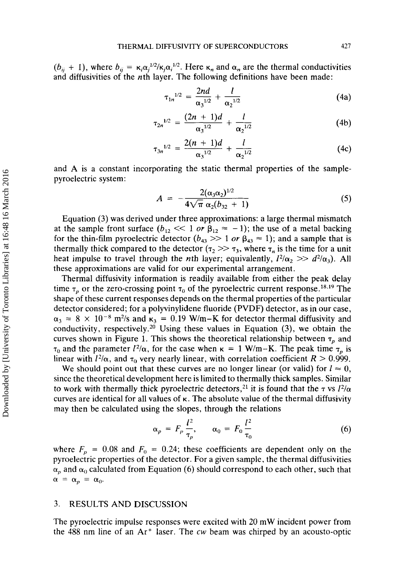$(b_{ij} + 1)$ , where  $b_{ij} = \kappa_i \alpha_j^{1/2} / \kappa_j \alpha_i^{1/2}$ . Here  $\kappa_n$  and  $\alpha_n$  are the thermal conductivities and diffusivities of the nth layer. The following definitions have been made:

$$
\tau_{1n}^{1/2} = \frac{2nd}{\alpha_3^{1/2}} + \frac{l}{\alpha_2^{1/2}}
$$
 (4a)

$$
\tau_{2n}^{1/2} = \frac{(2n+1)d}{\alpha_3^{1/2}} + \frac{l}{\alpha_2^{1/2}} \tag{4b}
$$

$$
\tau_{3n}^{1/2} = \frac{2(n+1)d}{\alpha_3^{1/2}} + \frac{l}{\alpha_2^{1/2}} \tag{4c}
$$

and **A** is a constant incorporating the static thermal properties of the samplepyroelectric system:

$$
A = -\frac{2(\alpha_3 \alpha_2)^{1/2}}{4\sqrt{\pi} \alpha_2 (b_{32} + 1)}
$$
 (5)

Equation **(3)** was derived under three approximations: a large thermal mismatch at the sample front surface  $(b_{12} \ll 1 \text{ or } \beta_{12} \approx -1)$ ; the use of a metal backing for the thin-film pyroelectric detector  $(b_{43} \gg 1 \text{ or } \beta_{43} \approx 1)$ ; and a sample that is thermally thick compared to the detector  $(\tau_2 \gg \tau_3)$ , where  $\tau_n$  is the time for a unit heat impulse to travel through the *n*th layer; equivalently,  $l^2/\alpha_2 \gg d^2/\alpha_3$ . All these approximations are valid for our experimental arrangement.

Thermal diffusivity information is readily available from either the peak delay time  $\tau_p$  or the zero-crossing point  $\tau_0$  of the pyroelectric current response.<sup>18,19</sup> The shape of these current responses depends on the thermal properties of the particular detector considered; for a polyvinylidene fluoride (PVDF) detector, as in our case,  $\alpha_3 = 8 \times 10^{-8}$  m<sup>2</sup>/s and  $\kappa_3 = 0.19$  W/m-K for detector thermal diffusivity and conductivity, respectively.20 Using these values in Equation **(3),** we obtain the curves shown in Figure 1. This shows the theoretical relationship between  $\tau_p$  and  $\tau_0$  and the parameter  $l^2/\alpha$ , for the case when  $\kappa = 1$  W/m-K. The peak time  $\tau_p$  is linear with  $l^2/\alpha$ , and  $\tau_0$  very nearly linear, with correlation coefficient *R* > 0.999.

We should point out that these curves are no longer linear (or valid) for  $l \approx 0$ , since the theoretical development here is limited to thermally thick samples. Similar to work with thermally thick pyroelectric detectors,<sup>21</sup> it is found that the  $\tau$  vs  $I^2/\alpha$ curves are identical for all values of  $\kappa$ . The absolute value of the thermal diffusivity may then be calculated using the slopes, through the relations

$$
\alpha_p = F_p \frac{l^2}{\tau_p}, \qquad \alpha_0 = F_0 \frac{l^2}{\tau_0} \tag{6}
$$

where  $F_p = 0.08$  and  $F_0 = 0.24$ ; these coefficients are dependent only on the pyroelectric properties of the detector. For a given sample, the thermal diffusivities  $\alpha_p$  and  $\alpha_0$  calculated from Equation (6) should correspond to each other, such that  $\alpha = \alpha_p = \alpha_0$ .

#### **3.** RESULTS AND DISCUSSION

The pyroelectric impulse responses were excited with 20 mW incident power from the 488 nm line of an **Ar'** laser. The *cw* beam was chirped by an acousto-optic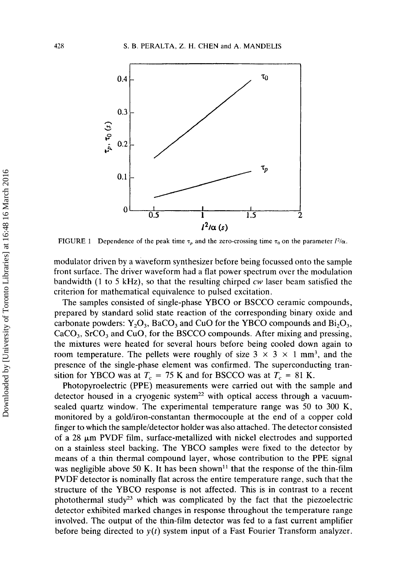

**FIGURE 1** Dependence of the peak time  $\tau_p$  and the zero-crossing time  $\tau_0$  on the parameter  $l^2/\alpha$ .

modulator driven by a waveform synthesizer before being focussed onto the sample front surface. The driver waveform had a flat power spectrum over the modulation bandwidth (1 to *5* kHz), so that the resulting chirped *cw* laser beam satisfied the criterion for mathematical equivalence to pulsed excitation.

The samples consisted of single-phase YBCO or BSCCO ceramic compounds, prepared by standard solid state reaction of the corresponding binary oxide and carbonate powders:  $Y_2O_3$ , BaCO<sub>3</sub> and CuO for the YBCO compounds and Bi<sub>2</sub>O<sub>3</sub>,  $CaCO<sub>3</sub>$ , SrCO<sub>3</sub> and CuO, for the BSCCO compounds. After mixing and pressing, the mixtures were heated for several hours before being cooled down again to room temperature. The pellets were roughly of size  $3 \times 3 \times 1$  mm<sup>3</sup>, and the presence of the single-phase element was confirmed. The superconducting transition for YBCO was at  $T_c = 75$  K and for BSCCO was at  $T_c = 81$  K.

Photopyroelectric (PPE) measurements were carried out with the sample and detector housed in a cryogenic system<sup>22</sup> with optical access through a vacuumsealed quartz window. The experimental temperature range was 50 to 300 K, monitored by a gold/iron-constantan thermocouple at the end of a copper cold finger to which the sample/detector holder was also attached. The detector consisted of a 28 pm PVDF film, surface-metallized with nickel electrodes and supported on a stainless steel backing. The YBCO samples were fixed to the detector by means of a thin thermal compound layer, whose contribution to the PPE signal was negligible above 50 K. It has been shown<sup>11</sup> that the response of the thin-film PVDF detector is nominally flat across the entire temperature range, such that the structure of the YBCO response is not affected. This is in contrast to a recent photothermal study<sup>23</sup> which was complicated by the fact that the piezoelectric detector exhibited marked changes in response throughout the temperature range involved. The output of the thin-film detector was fed to a fast current amplifier before being directed to *y(t)* system input of a Fast Fourier Transform analyzer.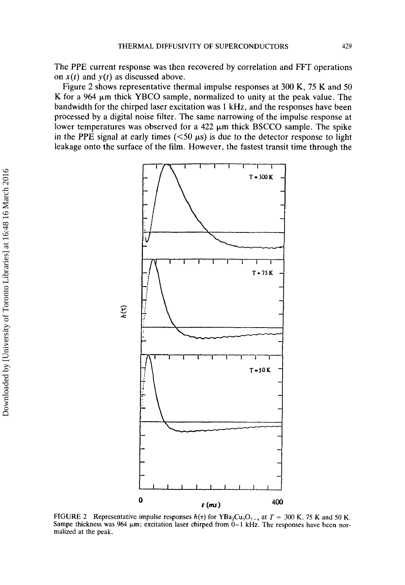The PPE current response was then recovered by correlation and FFT operations on  $x(t)$  and  $y(t)$  as discussed above.

Figure 2 shows representative thermal impulse responses at 300 K, 75 K and 50 K for a 964  $\mu$ m thick YBCO sample, normalized to unity at the peak value. The bandwidth for the chirped laser excitation was 1 kHz, and the responses have been processed by a digital noise filter. The same narrowing of the impulse response at lower temperatures was observed for a 422  $\mu$ m thick BSCCO sample. The spike in the PPE signal at early times  $(<50 \mu s$ ) is due to the detector response to light leakage onto the surface of the film. However, the fastest transit time through the



**FIGURE 2** Representative impulse responses  $h(\tau)$  for YBa<sub>2</sub>Cu<sub>3</sub>O<sub>7-x</sub> at  $T = 300$  K, 75 K and 50 K. Sampe thickness was  $964 \mu m$ ; excitation laser chirped from  $0-1$  kHz. The responses have been nor**malized at the peak.**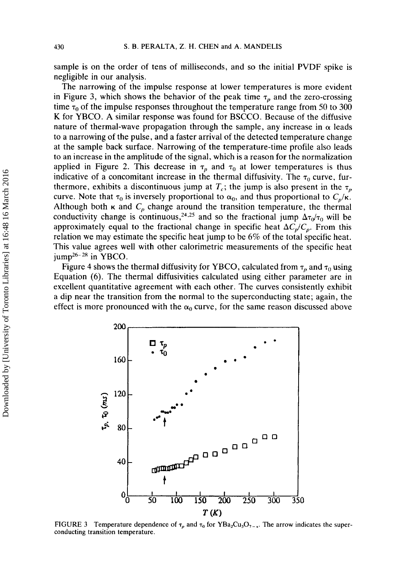sample is on the order of tens of milliseconds, and so the initial PVDF spike is negligible in our analysis.

The narrowing of the impulse response at lower temperatures is more evident in Figure 3, which shows the behavior of the peak time  $\tau_p$  and the zero-crossing time  $\tau_0$  of the impulse responses throughout the temperature range from 50 to 300 **K** for YBCO. A similar response was found for BSCCO. Because of the diffusive nature of thermal-wave propagation through the sample, any increase in  $\alpha$  leads to a narrowing of the pulse, and a faster arrival of the detected temperature change at the sample back surface. Narrowing of the temperature-time profile also leads to an increase in the amplitude of the signal, which is a reason for the normalization applied in Figure 2. This decrease in  $\tau_p$  and  $\tau_0$  at lower temperatures is thus indicative of a concomitant increase in the thermal diffusivity. The  $\tau_0$  curve, furthermore, exhibits a discontinuous jump at  $T_c$ ; the jump is also present in the  $\tau_p$ curve. Note that  $\tau_0$  is inversely proportional to  $\alpha_0$ , and thus proportional to  $C_p/\kappa$ . Although both  $\kappa$  and  $C_p$  change around the transition temperature, the thermal conductivity change is continuous,<sup>24,25</sup> and so the fractional jump  $\Delta\tau_0/\tau_0$  will be approximately equal to the fractional change in specific heat  $\Delta C_p/C_p$ . From this relation we may estimate the specific heat jump to be **6%** of the total specific heat. This value agrees well with other calorimetric measurements of the specific heat  $jump^{26-28}$  in YBCO.

Figure 4 shows the thermal diffusivity for YBCO, calculated from  $\tau_p$  and  $\tau_0$  using Equation (6). The thermal diffusivities calculated using either parameter are in excellent quantitative agreement with each other. The curves consistently exhibit a dip near the transition from the normal to the superconducting state; again, the effect is more pronounced with the  $\alpha_0$  curve, for the same reason discussed above



**FIGURE 3** Temperature dependence of  $\tau_p$  and  $\tau_0$  for **YBa<sub>2</sub>Cu<sub>3</sub>O<sub>7-x</sub>**. The arrow indicates the super**conducting transition temperature.**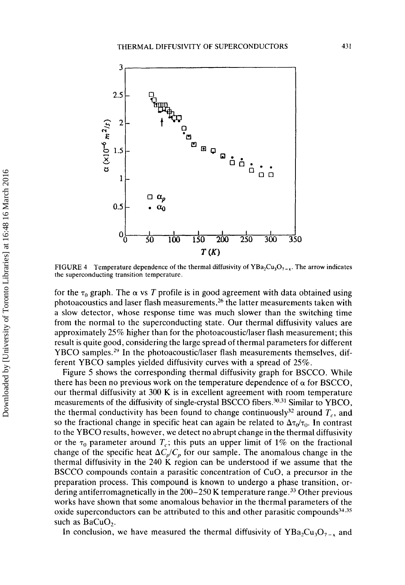

FIGURE 4 Temperature dependence of the thermal diffusivity of  $YBa_2Cu_3O_{7-x}$ . The arrow indicates the superconducting transition temperature.

for the  $\tau_0$  graph. The  $\alpha$  vs *T* profile is in good agreement with data obtained using photoacoustics and laser flash measurements,26 the latter measurements taken with a slow detector, whose response time was much slower than the switching time from the normal to the superconducting state. Our thermal diffusivity values are approximately 25% higher than for the photoacoustic/laser flash measurement; this result is quite good. considering the large spread of thermal parameters for different YBCO samples.<sup>29</sup> In the photoacoustic/laser flash measurements themselves, different YBCO samples yielded diffusivity curves with a spread of 25%.

Figure *5* shows the corresponding thermal diffusivity graph for BSCCO. While there has been no previous work on the temperature dependence of  $\alpha$  for BSCCO, our thermal diffusivity at **300** K is in excellent agreement with room temperature measurements of the diffusivity of single-crystal BSCCO fibers.<sup>30,31</sup> Similar to YBCO, the thermal conductivity has been found to change continuously<sup>32</sup> around  $T_c$ , and so the fractional change in specific heat can again be related to  $\Delta \tau_0/\tau_0$ . In contrast to the YBCO results, however, we detect no abrupt change in the thermal diffusivity or the  $\tau_0$  parameter around  $T_c$ ; this puts an upper limit of 1% on the fractional change of the specific heat  $\Delta C_p/C_p$  for our sample. The anomalous change in the thermal diffusivity in the **240** K region can be understood if we assume that the BSCCO compounds contain a parasitic concentration of CuO, **a** precursor in the preparation process. This compound is known to undergo a phase transition, ordering antiferromagnetically in the  $200-250$  K temperature range.<sup>33</sup> Other previous works have shown that some anomalous behavior in the thermal parameters of the oxide superconductors can be attributed to this and other parasitic compounds $^{34,35}$ such as BaCuO,.

In conclusion, we have measured the thermal diffusivity of  $YBa_2Cu_3O_{7-x}$  and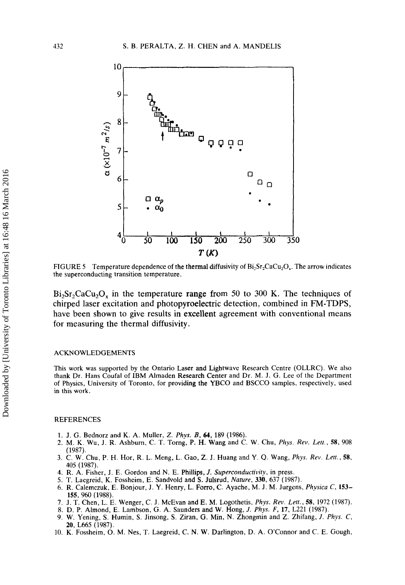

FIGURE 5 Temperature dependence of the thermal diffusivity of  $Bi_2Sr_2CaCu_2O_x$ . The arrow indicates the superconducting transition temperature.

 $Bi<sub>2</sub>Sr<sub>2</sub>CaCu<sub>2</sub>O<sub>x</sub>$  in the temperature range from 50 to 300 K. The techniques of chirped laser excitation and photopyroelectric detection, combined in FM-TDPS, have been shown to give results in excellent agreement with conventional means for measuring the thermal diffusivity.

#### ACKNOWLEDGEMENTS

This work was supported by the Ontario Laser and Lightwave Research Centre (OLLRC). We also thank **Dr.** Hans Coufal of IBM Almaden Research Center and **Dr.** M. **J.** G. Lee of the Department of Physics, University of Toronto, for providing the **YBCO** and BSCCO samples, respectively, used in this work.

#### REFERENCES

- 1. **J.** G. Bednorz and K. A. Muller, *Z. Phys. B, 64,* **189** (1986).
- 2. M. K. Wu, **J.** R. Ashburn. C. T. Torng, P. H. **Wang** and C. **W.** Chu, *Phys. Rev. Lett., 58,* 908 ( **19** 87).
- 3. C. W. Chu, P. H. Hor, R. L. Meng, **L.** Gao, Z. J. Huang and Y. Q. Wang, *Phys. Rev. Lett., 58,*  405 (1987).
- **4.** R. A. Fisher, **J. E.** Gordon and N. E. Phillips, *J. Superconductivity,* in press.
- 5. T. Laegreid, K. Fossheim, E. Sandvold and **S.** Julsrud, *Nature. 330,* 637 (1987).
- 6. R. Calemczuk, E. Bonjour, J. Y. Henry, L. **Forro,** C. Ayache, M. **J.** M. Jurgens, *Physica C,* **153- 155,** 960 (1988).
- 7. J. T. Chen, L. E. Wenger, C. J. McEvan and E. M. Logothetis, *Phys. Rev. Lett., 58,* 1972 (1987).
- 8. D. P. Almond, **E.** Lambson, *G.* A. Saunders and W. Hong, *J. Phys. F,* **17,** L221 (1987).
- 9. W. Yening, **S.** Humin, **S.** Jinsong, **S.** Ziran, G. Min, N. Zhongrnin and Z. Zhifang, *J. Phys. C,*  **20,** L665 (1987).
- 10. K. Fossheim, 0. M. Nes, T. Laegreid, C. N. **W.** Darlington, D. A. O'Connor and C. E. Gough,